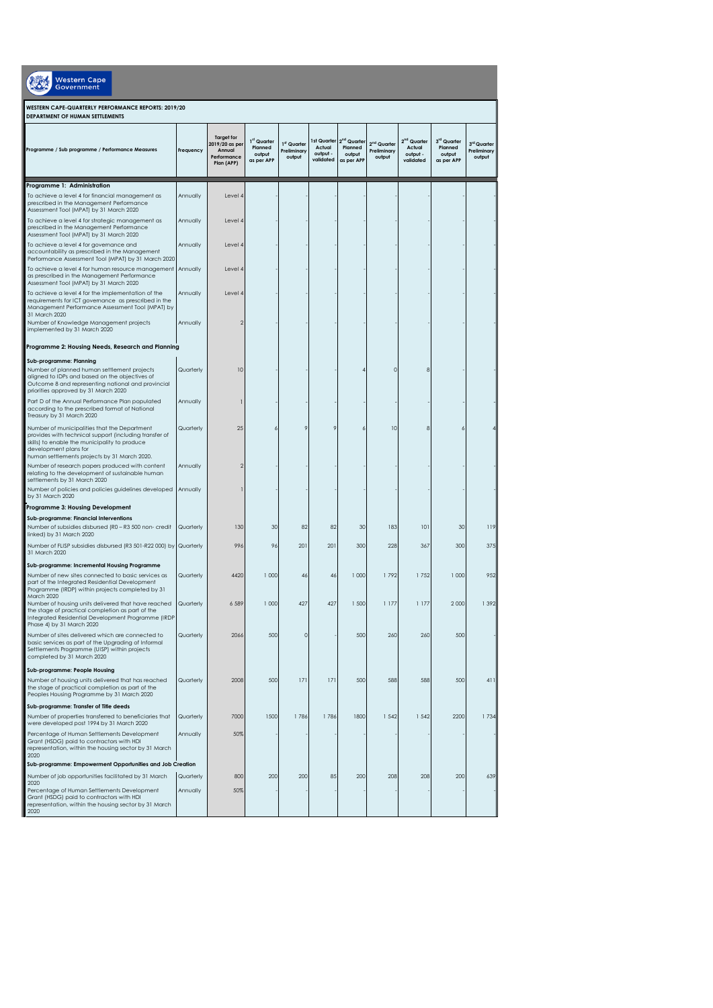| <b>Western Cape</b><br>Government                                                                                                                                                                                                |                      |                                                                            |                                                |                                      |                                                |                                                            |                                                  |                                                            |                                                |                                      |  |
|----------------------------------------------------------------------------------------------------------------------------------------------------------------------------------------------------------------------------------|----------------------|----------------------------------------------------------------------------|------------------------------------------------|--------------------------------------|------------------------------------------------|------------------------------------------------------------|--------------------------------------------------|------------------------------------------------------------|------------------------------------------------|--------------------------------------|--|
| WESTERN CAPE-QUARTERLY PERFORMANCE REPORTS: 2019/20<br>DEPARTMENT OF HUMAN SETTLEMENTS                                                                                                                                           |                      |                                                                            |                                                |                                      |                                                |                                                            |                                                  |                                                            |                                                |                                      |  |
| Programme / Sub programme / Performance Measures                                                                                                                                                                                 | Frequency            | <b>Target for</b><br>2019/20 as per<br>Annual<br>Performance<br>Plan (APP) | 1st Quarter<br>Planned<br>output<br>as per APP | 1st Quarter<br>Preliminary<br>output | Ist Quarter<br>Actual<br>output -<br>validated | 2 <sup>nd</sup> Quarter<br>Planned<br>output<br>as per APP | 2 <sup>nd</sup> Quarter<br>Preliminary<br>output | 2 <sup>nd</sup> Quarter<br>Actual<br>output -<br>validated | 3rd Quarter<br>Planned<br>output<br>as per APP | 3rd Quarter<br>Preliminary<br>output |  |
| Programme 1: Administration                                                                                                                                                                                                      |                      |                                                                            |                                                |                                      |                                                |                                                            |                                                  |                                                            |                                                |                                      |  |
| To achieve a level 4 for financial management as<br>prescribed in the Management Performance<br>Assessment Tool (MPAT) by 31 March 2020                                                                                          | Annually             | Level 4                                                                    |                                                |                                      |                                                |                                                            |                                                  |                                                            |                                                |                                      |  |
| To achieve a level 4 for strategic management as<br>prescribed in the Management Performance<br>Assessment Tool (MPAT) by 31 March 2020                                                                                          | Annually             | Level 4                                                                    |                                                |                                      |                                                |                                                            |                                                  |                                                            |                                                |                                      |  |
| To achieve a level 4 for governance and<br>accountability as prescribed in the Management<br>Performance Assessment Tool (MPAT) by 31 March 2020                                                                                 | Annually             | Level 4                                                                    |                                                |                                      |                                                |                                                            |                                                  |                                                            |                                                |                                      |  |
| To achieve a level 4 for human resource management<br>as prescribed in the Management Performance<br>Assessment Tool (MPAT) by 31 March 2020                                                                                     | Annually             | Level 4                                                                    |                                                |                                      |                                                |                                                            |                                                  |                                                            |                                                |                                      |  |
| To achieve a level 4 for the implementation of the<br>requirements for ICT governance as prescribed in the<br>Management Performance Assessment Tool (MPAT) by<br>31 March 2020<br>Number of Knowledge Management projects       | Annually<br>Annually | Level 4<br>2                                                               |                                                |                                      |                                                |                                                            |                                                  |                                                            |                                                |                                      |  |
| implemented by 31 March 2020                                                                                                                                                                                                     |                      |                                                                            |                                                |                                      |                                                |                                                            |                                                  |                                                            |                                                |                                      |  |
| Programme 2: Housing Needs, Research and Planning                                                                                                                                                                                |                      |                                                                            |                                                |                                      |                                                |                                                            |                                                  |                                                            |                                                |                                      |  |
| Sub-programme: Planning<br>Number of planned human settlement projects<br>aligned to IDPs and based on the objectives of<br>Outcome 8 and representing national and provincial<br>priorities approved by 31 March 2020           | Quarterly            | 10                                                                         |                                                |                                      |                                                |                                                            | $\Omega$                                         |                                                            |                                                |                                      |  |
| Part D of the Annual Performance Plan populated<br>according to the prescribed format of National<br>Treasury by 31 March 2020                                                                                                   | Annually             |                                                                            |                                                |                                      |                                                |                                                            |                                                  |                                                            |                                                |                                      |  |
| Number of municipalities that the Department<br>provides with technical support (including transfer of<br>skills) to enable the municipality to produce<br>development plans for<br>human settlements projects by 31 March 2020. | Quarterly            | 25                                                                         |                                                | 9                                    |                                                |                                                            | 10                                               |                                                            | 6                                              |                                      |  |
| Number of research papers produced with content<br>relating to the development of sustainable human<br>settlements by 31 March 2020                                                                                              | Annually             | 2                                                                          |                                                |                                      |                                                |                                                            |                                                  |                                                            |                                                |                                      |  |
| Number of policies and policies guidelines developed<br>by 31 March 2020                                                                                                                                                         | Annually             |                                                                            |                                                |                                      |                                                |                                                            |                                                  |                                                            |                                                |                                      |  |
| Programme 3: Housing Development                                                                                                                                                                                                 |                      |                                                                            |                                                |                                      |                                                |                                                            |                                                  |                                                            |                                                |                                      |  |
| Sub-programme: Financial Interventions<br>Number of subsidies disbursed (R0 - R3 500 non- credit<br>linked) by 31 March 2020                                                                                                     | Quarterly            | 130                                                                        | 30                                             | 82                                   | 82                                             | 30                                                         | 183                                              | 101                                                        | 30                                             | 119                                  |  |
| Number of FLISP subsidies disbursed (R3 501-R22 000) by Quarterly<br>31 March 2020                                                                                                                                               |                      | 996                                                                        | 96                                             | 201                                  | 201                                            | 300                                                        | 228                                              | 367                                                        | 300                                            | 375                                  |  |
| Sub-programme: Incremental Housing Programme<br>Number of new sites connected to basic services as<br>part of the Integrated Residential Development<br>Programme (IRDP) within projects completed by 31                         | Quarterly            | 4420                                                                       | 1000                                           | 46                                   | 46                                             | 1000                                                       | 1792                                             | 1752                                                       | 1 000                                          | 952                                  |  |
| March 2020<br>Number of housing units delivered that have reached<br>the stage of practical completion as part of the<br>Integrated Residential Development Programme (IRDP<br>Phase 4) by 31 March 2020                         | Quarterly            | 6 5 8 9                                                                    | 1000                                           | 427                                  | 427                                            | 1 500                                                      | 1 1 7 7                                          | 1177                                                       | 2 0 0 0                                        | 1392                                 |  |
| Number of sites delivered which are connected to<br>basic services as part of the Upgrading of Informal<br>Settlements Programme (UISP) within projects<br>completed by 31 March 2020                                            | Quarterly            | 2066                                                                       | 500                                            | $\mathsf{O}\xspace$                  |                                                | 500                                                        | 260                                              | 260                                                        | 500                                            |                                      |  |
| Sub-programme: People Housing<br>Number of housing units delivered that has reached<br>the stage of practical completion as part of the<br>Peoples Housing Programme by 31 March 2020                                            | Quarterly            | 2008                                                                       | 500                                            | 171                                  | 171                                            | 500                                                        | 588                                              | 588                                                        | 500                                            | 411                                  |  |
| Sub-programme: Transfer of Title deeds<br>Number of properties transferred to beneficiaries that<br>were developed post 1994 by 31 March 2020                                                                                    | Quarterly            | 7000                                                                       | 1500                                           | 1786                                 | 1786                                           | 1800                                                       | 1542                                             | 1542                                                       | 2200                                           | 1734                                 |  |
| Percentage of Human Settlements Development<br>Grant (HSDG) paid to contractors with HDI<br>representation, within the housing sector by 31 March<br>2020                                                                        | Annually             | 50%                                                                        |                                                |                                      |                                                |                                                            |                                                  |                                                            |                                                |                                      |  |
| Sub-programme: Empowerment Opportunities and Job Creation                                                                                                                                                                        |                      |                                                                            |                                                |                                      |                                                |                                                            |                                                  |                                                            |                                                |                                      |  |
| Number of job opportunities facilitated by 31 March<br>2020                                                                                                                                                                      | Quarterly            | 800                                                                        | 200                                            | 200                                  | 85                                             | 200                                                        | 208                                              | 208                                                        | 200                                            | 639                                  |  |
| Percentage of Human Settlements Development<br>Grant (HSDG) paid to contractors with HDI<br>representation, within the housing sector by 31 March<br>2020                                                                        | Annually             | 50%                                                                        |                                                |                                      |                                                |                                                            |                                                  |                                                            |                                                |                                      |  |